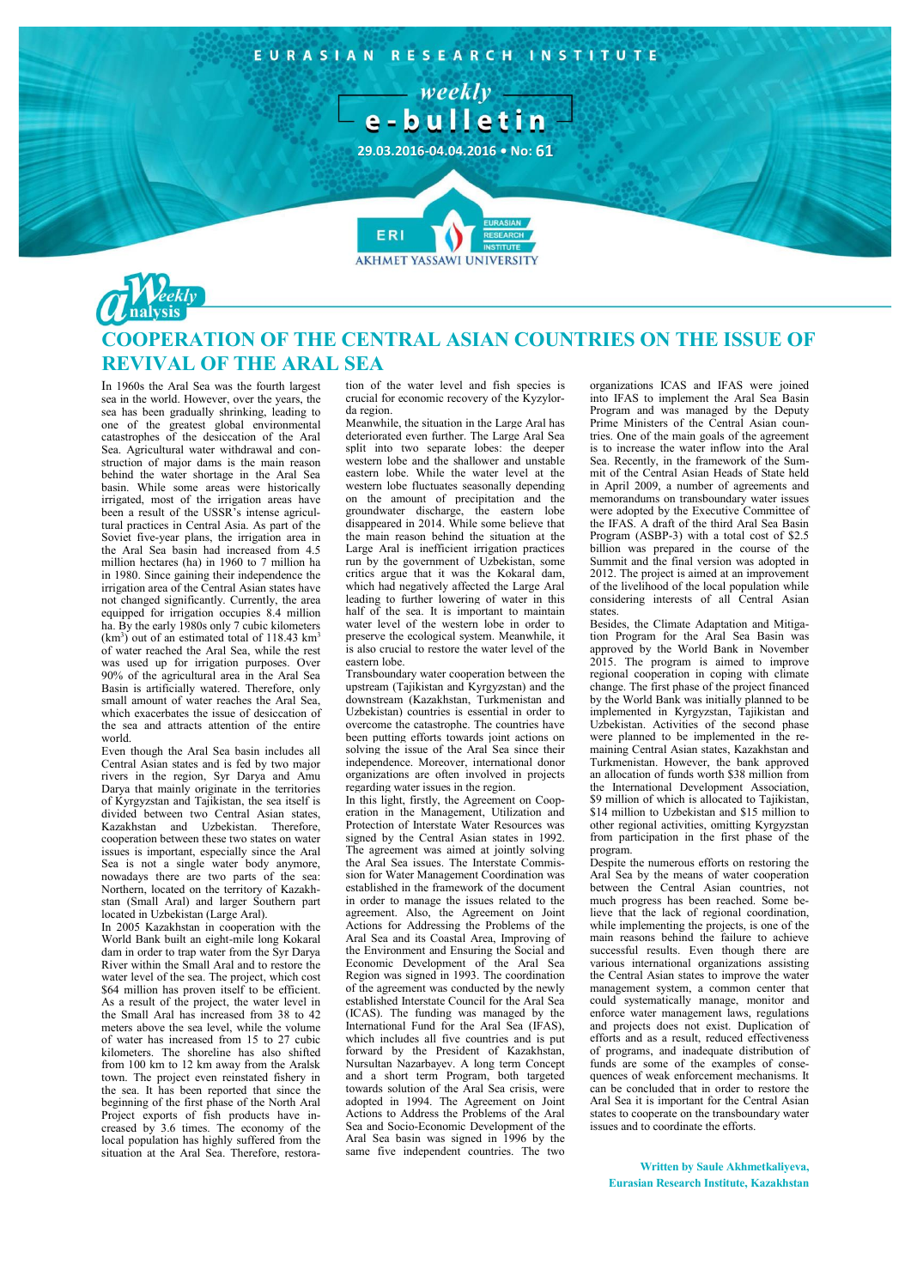

## **COOPERATION OF THE CENTRAL ASIAN COUNTRIES ON THE ISSUE OF REVIVAL OF THE ARAL SEA**

In 1960s the Aral Sea was the fourth largest sea in the world. However, over the years, the sea has been gradually shrinking, leading to one of the greatest global environmental catastrophes of the desiccation of the Aral Sea. Agricultural water withdrawal and construction of major dams is the main reason behind the water shortage in the Aral Sea basin. While some areas were historically irrigated, most of the irrigation areas have been a result of the USSR's intense agricultural practices in Central Asia. As part of the Soviet five-year plans, the irrigation area in the Aral Sea basin had increased from 4.5 million hectares (ha) in 1960 to 7 million ha in 1980. Since gaining their independence the irrigation area of the Central Asian states have not changed significantly. Currently, the area equipped for irrigation occupies 8.4 million ha. By the early 1980s only 7 cubic kilometers  $(km<sup>3</sup>)$  out of an estimated total of 118.43 km<sup>3</sup> of water reached the Aral Sea, while the rest was used up for irrigation purposes. Over 90% of the agricultural area in the Aral Sea Basin is artificially watered. Therefore, only small amount of water reaches the Aral Sea, which exacerbates the issue of desiccation of the sea and attracts attention of the entire world.

Even though the Aral Sea basin includes all Central Asian states and is fed by two major rivers in the region, Syr Darya and Amu Darya that mainly originate in the territories of Kyrgyzstan and Tajikistan, the sea itself is divided between two Central Asian states, Kazakhstan and Uzbekistan. Therefore, cooperation between these two states on water issues is important, especially since the Aral Sea is not a single water body anymore, nowadays there are two parts of the sea: Northern, located on the territory of Kazakhstan (Small Aral) and larger Southern part located in Uzbekistan (Large Aral).

In 2005 Kazakhstan in cooperation with the World Bank built an eight-mile long Kokaral dam in order to trap water from the Syr Darya River within the Small Aral and to restore the water level of the sea. The project, which cost \$64 million has proven itself to be efficient. As a result of the project, the water level in the Small Aral has increased from 38 to 42 meters above the sea level, while the volume of water has increased from 15 to 27 cubic kilometers. The shoreline has also shifted from 100 km to 12 km away from the Aralsk town. The project even reinstated fishery in the sea. It has been reported that since the beginning of the first phase of the North Aral Project exports of fish products have increased by 3.6 times. The economy of the local population has highly suffered from the situation at the Aral Sea. Therefore, restoration of the water level and fish species is crucial for economic recovery of the Kyzylorda region.

Meanwhile, the situation in the Large Aral has deteriorated even further. The Large Aral Sea split into two separate lobes: the deeper western lobe and the shallower and unstable eastern lobe. While the water level at the western lobe fluctuates seasonally depending on the amount of precipitation and the groundwater discharge, the eastern lobe disappeared in 2014. While some believe that the main reason behind the situation at the Large Aral is inefficient irrigation practices run by the government of Uzbekistan, some critics argue that it was the Kokaral dam, which had negatively affected the Large Aral leading to further lowering of water in this half of the sea. It is important to maintain water level of the western lobe in order to preserve the ecological system. Meanwhile, it is also crucial to restore the water level of the eastern lobe.

Transboundary water cooperation between the upstream (Tajikistan and Kyrgyzstan) and the downstream (Kazakhstan, Turkmenistan and Uzbekistan) countries is essential in order to overcome the catastrophe. The countries have been putting efforts towards joint actions on solving the issue of the Aral Sea since their independence. Moreover, international donor organizations are often involved in projects regarding water issues in the region.

In this light, firstly, the Agreement on Cooperation in the Management, Utilization and Protection of Interstate Water Resources was signed by the Central Asian states in 1992. The agreement was aimed at jointly solving the Aral Sea issues. The Interstate Commission for Water Management Coordination was established in the framework of the document in order to manage the issues related to the agreement. Also, the Agreement on Joint Actions for Addressing the Problems of the Aral Sea and its Coastal Area, Improving of the Environment and Ensuring the Social and Economic Development of the Aral Sea Region was signed in 1993. The coordination of the agreement was conducted by the newly established Interstate Council for the Aral Sea (ICAS). The funding was managed by the International Fund for the Aral Sea (IFAS), which includes all five countries and is put forward by the President of Kazakhstan, Nursultan Nazarbayev. A long term Concept and a short term Program, both targeted towards solution of the Aral Sea crisis, were adopted in 1994. The Agreement on Joint Actions to Address the Problems of the Aral Sea and Socio-Economic Development of the Aral Sea basin was signed in 1996 by the same five independent countries. The two

organizations ICAS and IFAS were joined into IFAS to implement the Aral Sea Basin Program and was managed by the Deputy Prime Ministers of the Central Asian countries. One of the main goals of the agreement is to increase the water inflow into the Aral Sea. Recently, in the framework of the Summit of the Central Asian Heads of State held in April 2009, a number of agreements and memorandums on transboundary water issues were adopted by the Executive Committee of the IFAS. A draft of the third Aral Sea Basin Program (ASBP-3) with a total cost of \$2.5 billion was prepared in the course of the Summit and the final version was adopted in 2012. The project is aimed at an improvement of the livelihood of the local population while considering interests of all Central Asian states.

Besides, the Climate Adaptation and Mitigation Program for the Aral Sea Basin was approved by the World Bank in November 2015. The program is aimed to improve regional cooperation in coping with climate change. The first phase of the project financed by the World Bank was initially planned to be implemented in Kyrgyzstan, Tajikistan and Uzbekistan. Activities of the second phase were planned to be implemented in the remaining Central Asian states, Kazakhstan and Turkmenistan. However, the bank approved an allocation of funds worth \$38 million from the International Development Association,  $$9$  million of which is allocated to Tajikistan \$14 million to Uzbekistan and \$15 million to other regional activities, omitting Kyrgyzstan from participation in the first phase of the program.

Despite the numerous efforts on restoring the Aral Sea by the means of water cooperation between the Central Asian countries, not much progress has been reached. Some believe that the lack of regional coordination, while implementing the projects, is one of the main reasons behind the failure to achieve successful results. Even though there are various international organizations assisting the Central Asian states to improve the water management system, a common center that could systematically manage, monitor and enforce water management laws, regulations and projects does not exist. Duplication of efforts and as a result, reduced effectiveness of programs, and inadequate distribution of funds are some of the examples of consequences of weak enforcement mechanisms. It can be concluded that in order to restore the Aral Sea it is important for the Central Asian states to cooperate on the transboundary water issues and to coordinate the efforts.

**Written by Saule Akhmetkaliyeva, Eurasian Research Institute, Kazakhstan**